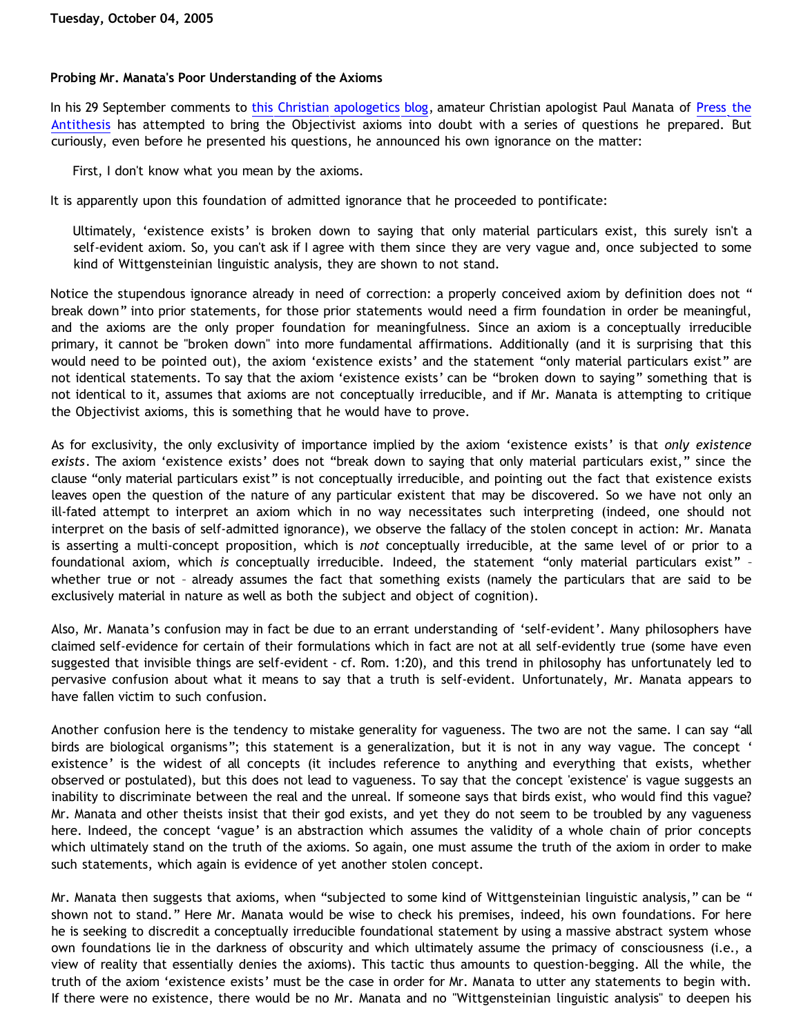### **Probing Mr. Manata's Poor Understanding of the Axioms**

In his 29 September comments to [this Christian apologetics blog,](http://corneliusvantil.blogspot.com/2005/09/clarification-regarding-atheistic.html) amateur Christian apologist Paul Manata of [Press the](http://presstheantithesis.blogspot.com/) [Antithesis](http://presstheantithesis.blogspot.com/) has attempted to bring the Objectivist axioms into doubt with a series of questions he prepared. But curiously, even before he presented his questions, he announced his own ignorance on the matter:

First, I don't know what you mean by the axioms.

It is apparently upon this foundation of admitted ignorance that he proceeded to pontificate:

Ultimately, 'existence exists' is broken down to saying that only material particulars exist, this surely isn't a self-evident axiom. So, you can't ask if I agree with them since they are very vague and, once subjected to some kind of Wittgensteinian linguistic analysis, they are shown to not stand.

Notice the stupendous ignorance already in need of correction: a properly conceived axiom by definition does not " break down" into prior statements, for those prior statements would need a firm foundation in order be meaningful, and the axioms are the only proper foundation for meaningfulness. Since an axiom is a conceptually irreducible primary, it cannot be "broken down" into more fundamental affirmations. Additionally (and it is surprising that this would need to be pointed out), the axiom 'existence exists' and the statement "only material particulars exist" are not identical statements. To say that the axiom 'existence exists' can be "broken down to saying" something that is not identical to it, assumes that axioms are not conceptually irreducible, and if Mr. Manata is attempting to critique the Objectivist axioms, this is something that he would have to prove.

As for exclusivity, the only exclusivity of importance implied by the axiom 'existence exists' is that *only existence exists*. The axiom 'existence exists' does not "break down to saying that only material particulars exist," since the clause "only material particulars exist" is not conceptually irreducible, and pointing out the fact that existence exists leaves open the question of the nature of any particular existent that may be discovered. So we have not only an ill-fated attempt to interpret an axiom which in no way necessitates such interpreting (indeed, one should not interpret on the basis of self-admitted ignorance), we observe the fallacy of the stolen concept in action: Mr. Manata is asserting a multi-concept proposition, which is *not* conceptually irreducible, at the same level of or prior to a foundational axiom, which *is* conceptually irreducible. Indeed, the statement "only material particulars exist" – whether true or not – already assumes the fact that something exists (namely the particulars that are said to be exclusively material in nature as well as both the subject and object of cognition).

Also, Mr. Manata's confusion may in fact be due to an errant understanding of 'self-evident'. Many philosophers have claimed self-evidence for certain of their formulations which in fact are not at all self-evidently true (some have even suggested that invisible things are self-evident - cf. Rom. 1:20), and this trend in philosophy has unfortunately led to pervasive confusion about what it means to say that a truth is self-evident. Unfortunately, Mr. Manata appears to have fallen victim to such confusion.

Another confusion here is the tendency to mistake generality for vagueness. The two are not the same. I can say "all birds are biological organisms"; this statement is a generalization, but it is not in any way vague. The concept ' existence' is the widest of all concepts (it includes reference to anything and everything that exists, whether observed or postulated), but this does not lead to vagueness. To say that the concept 'existence' is vague suggests an inability to discriminate between the real and the unreal. If someone says that birds exist, who would find this vague? Mr. Manata and other theists insist that their god exists, and yet they do not seem to be troubled by any vagueness here. Indeed, the concept 'vague' is an abstraction which assumes the validity of a whole chain of prior concepts which ultimately stand on the truth of the axioms. So again, one must assume the truth of the axiom in order to make such statements, which again is evidence of yet another stolen concept.

Mr. Manata then suggests that axioms, when "subjected to some kind of Wittgensteinian linguistic analysis," can be " shown not to stand." Here Mr. Manata would be wise to check his premises, indeed, his own foundations. For here he is seeking to discredit a conceptually irreducible foundational statement by using a massive abstract system whose own foundations lie in the darkness of obscurity and which ultimately assume the primacy of consciousness (i.e., a view of reality that essentially denies the axioms). This tactic thus amounts to question-begging. All the while, the truth of the axiom 'existence exists' must be the case in order for Mr. Manata to utter any statements to begin with. If there were no existence, there would be no Mr. Manata and no "Wittgensteinian linguistic analysis" to deepen his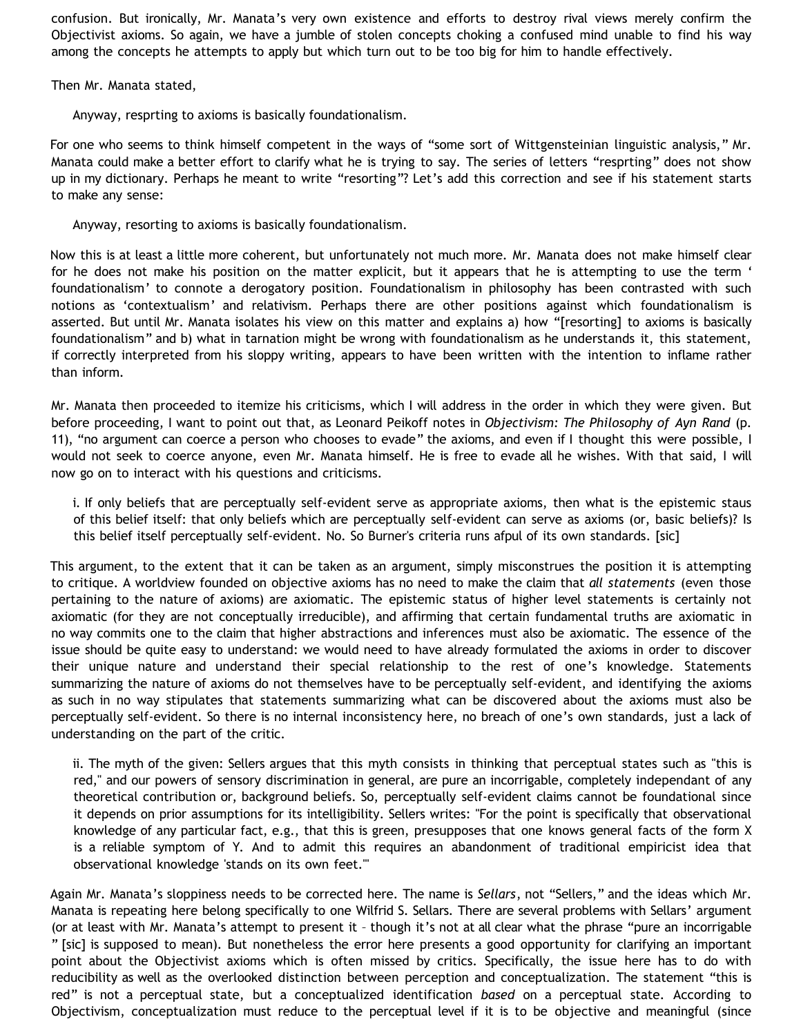confusion. But ironically, Mr. Manata's very own existence and efforts to destroy rival views merely confirm the Objectivist axioms. So again, we have a jumble of stolen concepts choking a confused mind unable to find his way among the concepts he attempts to apply but which turn out to be too big for him to handle effectively.

Then Mr. Manata stated,

Anyway, resprting to axioms is basically foundationalism.

For one who seems to think himself competent in the ways of "some sort of Wittgensteinian linguistic analysis," Mr. Manata could make a better effort to clarify what he is trying to say. The series of letters "resprting" does not show up in my dictionary. Perhaps he meant to write "resorting"? Let's add this correction and see if his statement starts to make any sense:

Anyway, resorting to axioms is basically foundationalism.

Now this is at least a little more coherent, but unfortunately not much more. Mr. Manata does not make himself clear for he does not make his position on the matter explicit, but it appears that he is attempting to use the term ' foundationalism' to connote a derogatory position. Foundationalism in philosophy has been contrasted with such notions as 'contextualism' and relativism. Perhaps there are other positions against which foundationalism is asserted. But until Mr. Manata isolates his view on this matter and explains a) how "[resorting] to axioms is basically foundationalism" and b) what in tarnation might be wrong with foundationalism as he understands it, this statement, if correctly interpreted from his sloppy writing, appears to have been written with the intention to inflame rather than inform.

Mr. Manata then proceeded to itemize his criticisms, which I will address in the order in which they were given. But before proceeding, I want to point out that, as Leonard Peikoff notes in *Objectivism: The Philosophy of Ayn Rand* (p. 11), "no argument can coerce a person who chooses to evade" the axioms, and even if I thought this were possible, I would not seek to coerce anyone, even Mr. Manata himself. He is free to evade all he wishes. With that said, I will now go on to interact with his questions and criticisms.

i. If only beliefs that are perceptually self-evident serve as appropriate axioms, then what is the epistemic staus of this belief itself: that only beliefs which are perceptually self-evident can serve as axioms (or, basic beliefs)? Is this belief itself perceptually self-evident. No. So Burner's criteria runs afpul of its own standards. [sic]

This argument, to the extent that it can be taken as an argument, simply misconstrues the position it is attempting to critique. A worldview founded on objective axioms has no need to make the claim that *all statements* (even those pertaining to the nature of axioms) are axiomatic. The epistemic status of higher level statements is certainly not axiomatic (for they are not conceptually irreducible), and affirming that certain fundamental truths are axiomatic in no way commits one to the claim that higher abstractions and inferences must also be axiomatic. The essence of the issue should be quite easy to understand: we would need to have already formulated the axioms in order to discover their unique nature and understand their special relationship to the rest of one's knowledge. Statements summarizing the nature of axioms do not themselves have to be perceptually self-evident, and identifying the axioms as such in no way stipulates that statements summarizing what can be discovered about the axioms must also be perceptually self-evident. So there is no internal inconsistency here, no breach of one's own standards, just a lack of understanding on the part of the critic.

ii. The myth of the given: Sellers argues that this myth consists in thinking that perceptual states such as "this is red," and our powers of sensory discrimination in general, are pure an incorrigable, completely independant of any theoretical contribution or, background beliefs. So, perceptually self-evident claims cannot be foundational since it depends on prior assumptions for its intelligibility. Sellers writes: "For the point is specifically that observational knowledge of any particular fact, e.g., that this is green, presupposes that one knows general facts of the form X is a reliable symptom of Y. And to admit this requires an abandonment of traditional empiricist idea that observational knowledge 'stands on its own feet.'"

Again Mr. Manata's sloppiness needs to be corrected here. The name is *Sellars*, not "Sellers," and the ideas which Mr. Manata is repeating here belong specifically to one Wilfrid S. Sellars. There are several problems with Sellars' argument (or at least with Mr. Manata's attempt to present it – though it's not at all clear what the phrase "pure an incorrigable " [sic] is supposed to mean). But nonetheless the error here presents a good opportunity for clarifying an important point about the Objectivist axioms which is often missed by critics. Specifically, the issue here has to do with reducibility as well as the overlooked distinction between perception and conceptualization. The statement "this is red" is not a perceptual state, but a conceptualized identification *based* on a perceptual state. According to Objectivism, conceptualization must reduce to the perceptual level if it is to be objective and meaningful (since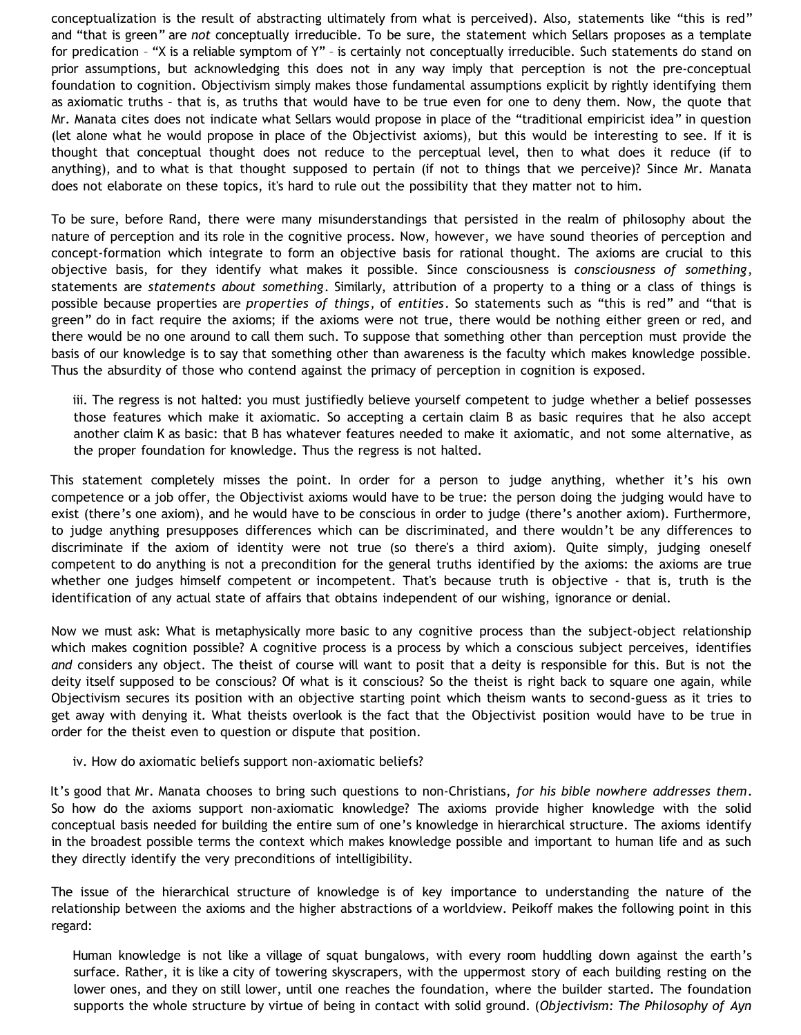conceptualization is the result of abstracting ultimately from what is perceived). Also, statements like "this is red" and "that is green" are *not* conceptually irreducible. To be sure, the statement which Sellars proposes as a template for predication – "X is a reliable symptom of Y" – is certainly not conceptually irreducible. Such statements do stand on prior assumptions, but acknowledging this does not in any way imply that perception is not the pre-conceptual foundation to cognition. Objectivism simply makes those fundamental assumptions explicit by rightly identifying them as axiomatic truths – that is, as truths that would have to be true even for one to deny them. Now, the quote that Mr. Manata cites does not indicate what Sellars would propose in place of the "traditional empiricist idea" in question (let alone what he would propose in place of the Objectivist axioms), but this would be interesting to see. If it is thought that conceptual thought does not reduce to the perceptual level, then to what does it reduce (if to anything), and to what is that thought supposed to pertain (if not to things that we perceive)? Since Mr. Manata does not elaborate on these topics, it's hard to rule out the possibility that they matter not to him.

To be sure, before Rand, there were many misunderstandings that persisted in the realm of philosophy about the nature of perception and its role in the cognitive process. Now, however, we have sound theories of perception and concept-formation which integrate to form an objective basis for rational thought. The axioms are crucial to this objective basis, for they identify what makes it possible. Since consciousness is *consciousness of something*, statements are *statements about something*. Similarly, attribution of a property to a thing or a class of things is possible because properties are *properties of things*, of *entities*. So statements such as "this is red" and "that is green" do in fact require the axioms; if the axioms were not true, there would be nothing either green or red, and there would be no one around to call them such. To suppose that something other than perception must provide the basis of our knowledge is to say that something other than awareness is the faculty which makes knowledge possible. Thus the absurdity of those who contend against the primacy of perception in cognition is exposed.

iii. The regress is not halted: you must justifiedly believe yourself competent to judge whether a belief possesses those features which make it axiomatic. So accepting a certain claim B as basic requires that he also accept another claim K as basic: that B has whatever features needed to make it axiomatic, and not some alternative, as the proper foundation for knowledge. Thus the regress is not halted.

This statement completely misses the point. In order for a person to judge anything, whether it's his own competence or a job offer, the Objectivist axioms would have to be true: the person doing the judging would have to exist (there's one axiom), and he would have to be conscious in order to judge (there's another axiom). Furthermore, to judge anything presupposes differences which can be discriminated, and there wouldn't be any differences to discriminate if the axiom of identity were not true (so there's a third axiom). Quite simply, judging oneself competent to do anything is not a precondition for the general truths identified by the axioms: the axioms are true whether one judges himself competent or incompetent. That's because truth is objective - that is, truth is the identification of any actual state of affairs that obtains independent of our wishing, ignorance or denial.

Now we must ask: What is metaphysically more basic to any cognitive process than the subject-object relationship which makes cognition possible? A cognitive process is a process by which a conscious subject perceives, identifies *and* considers any object. The theist of course will want to posit that a deity is responsible for this. But is not the deity itself supposed to be conscious? Of what is it conscious? So the theist is right back to square one again, while Objectivism secures its position with an objective starting point which theism wants to second-guess as it tries to get away with denying it. What theists overlook is the fact that the Objectivist position would have to be true in order for the theist even to question or dispute that position.

#### iv. How do axiomatic beliefs support non-axiomatic beliefs?

It's good that Mr. Manata chooses to bring such questions to non-Christians, *for his bible nowhere addresses them*. So how do the axioms support non-axiomatic knowledge? The axioms provide higher knowledge with the solid conceptual basis needed for building the entire sum of one's knowledge in hierarchical structure. The axioms identify in the broadest possible terms the context which makes knowledge possible and important to human life and as such they directly identify the very preconditions of intelligibility.

The issue of the hierarchical structure of knowledge is of key importance to understanding the nature of the relationship between the axioms and the higher abstractions of a worldview. Peikoff makes the following point in this regard:

Human knowledge is not like a village of squat bungalows, with every room huddling down against the earth's surface. Rather, it is like a city of towering skyscrapers, with the uppermost story of each building resting on the lower ones, and they on still lower, until one reaches the foundation, where the builder started. The foundation supports the whole structure by virtue of being in contact with solid ground. (*Objectivism: The Philosophy of Ayn*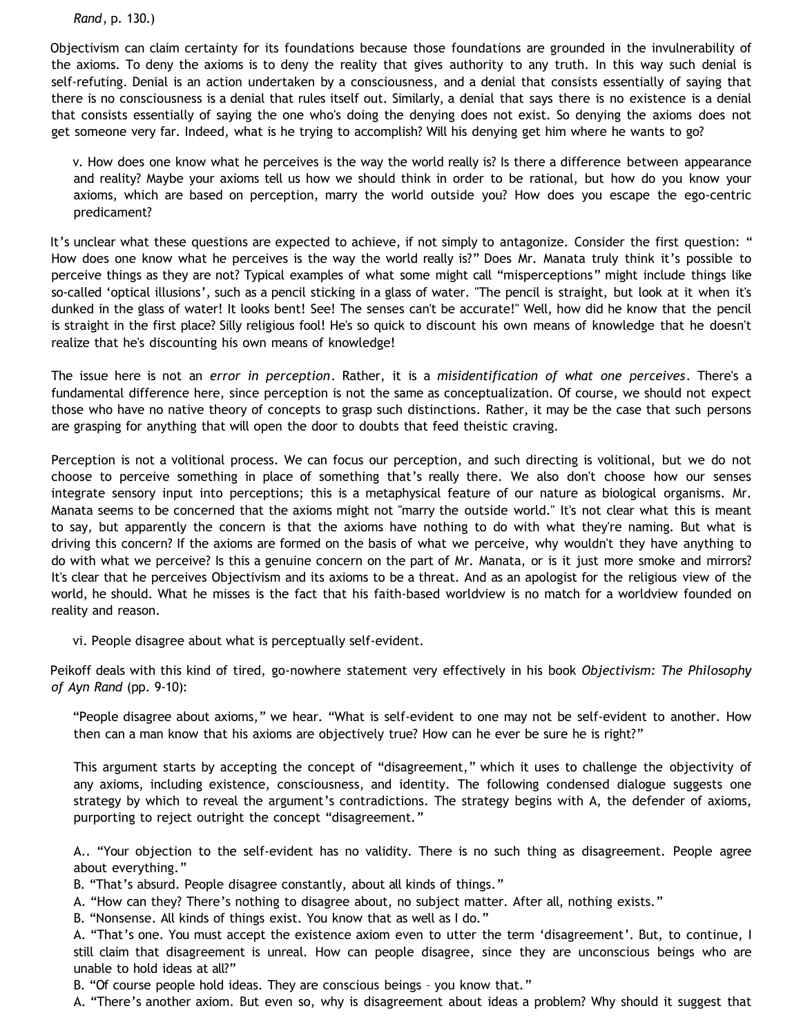*Rand*, p. 130.)

Objectivism can claim certainty for its foundations because those foundations are grounded in the invulnerability of the axioms. To deny the axioms is to deny the reality that gives authority to any truth. In this way such denial is self-refuting. Denial is an action undertaken by a consciousness, and a denial that consists essentially of saying that there is no consciousness is a denial that rules itself out. Similarly, a denial that says there is no existence is a denial that consists essentially of saying the one who's doing the denying does not exist. So denying the axioms does not get someone very far. Indeed, what is he trying to accomplish? Will his denying get him where he wants to go?

v. How does one know what he perceives is the way the world really is? Is there a difference between appearance and reality? Maybe your axioms tell us how we should think in order to be rational, but how do you know your axioms, which are based on perception, marry the world outside you? How does you escape the ego-centric predicament?

It's unclear what these questions are expected to achieve, if not simply to antagonize. Consider the first question: " How does one know what he perceives is the way the world really is?" Does Mr. Manata truly think it's possible to perceive things as they are not? Typical examples of what some might call "misperceptions" might include things like so-called 'optical illusions', such as a pencil sticking in a glass of water. "The pencil is straight, but look at it when it's dunked in the glass of water! It looks bent! See! The senses can't be accurate!" Well, how did he know that the pencil is straight in the first place? Silly religious fool! He's so quick to discount his own means of knowledge that he doesn't realize that he's discounting his own means of knowledge!

The issue here is not an *error in perception*. Rather, it is a *misidentification of what one perceives*. There's a fundamental difference here, since perception is not the same as conceptualization. Of course, we should not expect those who have no native theory of concepts to grasp such distinctions. Rather, it may be the case that such persons are grasping for anything that will open the door to doubts that feed theistic craving.

Perception is not a volitional process. We can focus our perception, and such directing is volitional, but we do not choose to perceive something in place of something that's really there. We also don't choose how our senses integrate sensory input into perceptions; this is a metaphysical feature of our nature as biological organisms. Mr. Manata seems to be concerned that the axioms might not "marry the outside world." It's not clear what this is meant to say, but apparently the concern is that the axioms have nothing to do with what they're naming. But what is driving this concern? If the axioms are formed on the basis of what we perceive, why wouldn't they have anything to do with what we perceive? Is this a genuine concern on the part of Mr. Manata, or is it just more smoke and mirrors? It's clear that he perceives Objectivism and its axioms to be a threat. And as an apologist for the religious view of the world, he should. What he misses is the fact that his faith-based worldview is no match for a worldview founded on reality and reason.

vi. People disagree about what is perceptually self-evident.

Peikoff deals with this kind of tired, go-nowhere statement very effectively in his book *Objectivism: The Philosophy of Ayn Rand* (pp. 9-10):

"People disagree about axioms," we hear. "What is self-evident to one may not be self-evident to another. How then can a man know that his axioms are objectively true? How can he ever be sure he is right?"

This argument starts by accepting the concept of "disagreement," which it uses to challenge the objectivity of any axioms, including existence, consciousness, and identity. The following condensed dialogue suggests one strategy by which to reveal the argument's contradictions. The strategy begins with A, the defender of axioms, purporting to reject outright the concept "disagreement."

A.. "Your objection to the self-evident has no validity. There is no such thing as disagreement. People agree about everything."

B. "That's absurd. People disagree constantly, about all kinds of things."

A. "How can they? There's nothing to disagree about, no subject matter. After all, nothing exists."

B. "Nonsense. All kinds of things exist. You know that as well as I do."

A. "That's one. You must accept the existence axiom even to utter the term 'disagreement'. But, to continue, I still claim that disagreement is unreal. How can people disagree, since they are unconscious beings who are unable to hold ideas at all?"

B. "Of course people hold ideas. They are conscious beings – you know that."

A. "There's another axiom. But even so, why is disagreement about ideas a problem? Why should it suggest that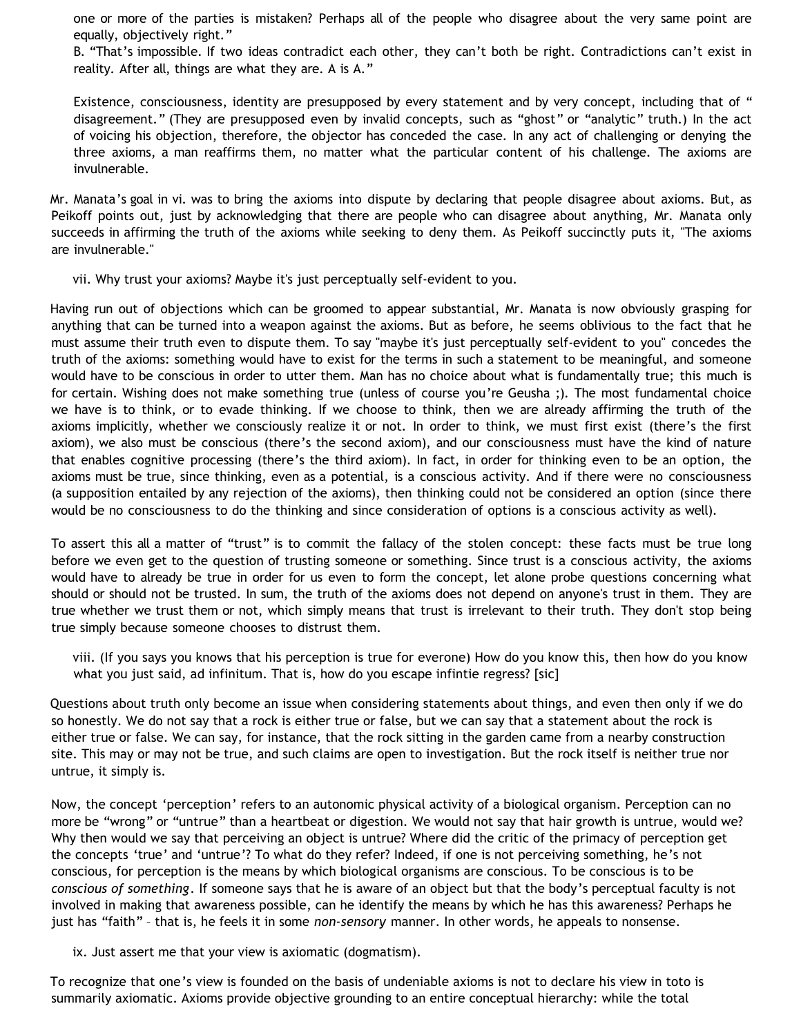one or more of the parties is mistaken? Perhaps all of the people who disagree about the very same point are equally, objectively right."

B. "That's impossible. If two ideas contradict each other, they can't both be right. Contradictions can't exist in reality. After all, things are what they are. A is A."

Existence, consciousness, identity are presupposed by every statement and by very concept, including that of " disagreement." (They are presupposed even by invalid concepts, such as "ghost" or "analytic" truth.) In the act of voicing his objection, therefore, the objector has conceded the case. In any act of challenging or denying the three axioms, a man reaffirms them, no matter what the particular content of his challenge. The axioms are invulnerable.

Mr. Manata's goal in vi. was to bring the axioms into dispute by declaring that people disagree about axioms. But, as Peikoff points out, just by acknowledging that there are people who can disagree about anything, Mr. Manata only succeeds in affirming the truth of the axioms while seeking to deny them. As Peikoff succinctly puts it, "The axioms are invulnerable."

vii. Why trust your axioms? Maybe it's just perceptually self-evident to you.

Having run out of objections which can be groomed to appear substantial, Mr. Manata is now obviously grasping for anything that can be turned into a weapon against the axioms. But as before, he seems oblivious to the fact that he must assume their truth even to dispute them. To say "maybe it's just perceptually self-evident to you" concedes the truth of the axioms: something would have to exist for the terms in such a statement to be meaningful, and someone would have to be conscious in order to utter them. Man has no choice about what is fundamentally true; this much is for certain. Wishing does not make something true (unless of course you're Geusha ;). The most fundamental choice we have is to think, or to evade thinking. If we choose to think, then we are already affirming the truth of the axioms implicitly, whether we consciously realize it or not. In order to think, we must first exist (there's the first axiom), we also must be conscious (there's the second axiom), and our consciousness must have the kind of nature that enables cognitive processing (there's the third axiom). In fact, in order for thinking even to be an option, the axioms must be true, since thinking, even as a potential, is a conscious activity. And if there were no consciousness (a supposition entailed by any rejection of the axioms), then thinking could not be considered an option (since there would be no consciousness to do the thinking and since consideration of options is a conscious activity as well).

To assert this all a matter of "trust" is to commit the fallacy of the stolen concept: these facts must be true long before we even get to the question of trusting someone or something. Since trust is a conscious activity, the axioms would have to already be true in order for us even to form the concept, let alone probe questions concerning what should or should not be trusted. In sum, the truth of the axioms does not depend on anyone's trust in them. They are true whether we trust them or not, which simply means that trust is irrelevant to their truth. They don't stop being true simply because someone chooses to distrust them.

viii. (If you says you knows that his perception is true for everone) How do you know this, then how do you know what you just said, ad infinitum. That is, how do you escape infintie regress? [sic]

Questions about truth only become an issue when considering statements about things, and even then only if we do so honestly. We do not say that a rock is either true or false, but we can say that a statement about the rock is either true or false. We can say, for instance, that the rock sitting in the garden came from a nearby construction site. This may or may not be true, and such claims are open to investigation. But the rock itself is neither true nor untrue, it simply is.

Now, the concept 'perception' refers to an autonomic physical activity of a biological organism. Perception can no more be "wrong" or "untrue" than a heartbeat or digestion. We would not say that hair growth is untrue, would we? Why then would we say that perceiving an object is untrue? Where did the critic of the primacy of perception get the concepts 'true' and 'untrue'? To what do they refer? Indeed, if one is not perceiving something, he's not conscious, for perception is the means by which biological organisms are conscious. To be conscious is to be *conscious of something*. If someone says that he is aware of an object but that the body's perceptual faculty is not involved in making that awareness possible, can he identify the means by which he has this awareness? Perhaps he just has "faith" – that is, he feels it in some *non-sensory* manner. In other words, he appeals to nonsense.

ix. Just assert me that your view is axiomatic (dogmatism).

To recognize that one's view is founded on the basis of undeniable axioms is not to declare his view in toto is summarily axiomatic. Axioms provide objective grounding to an entire conceptual hierarchy: while the total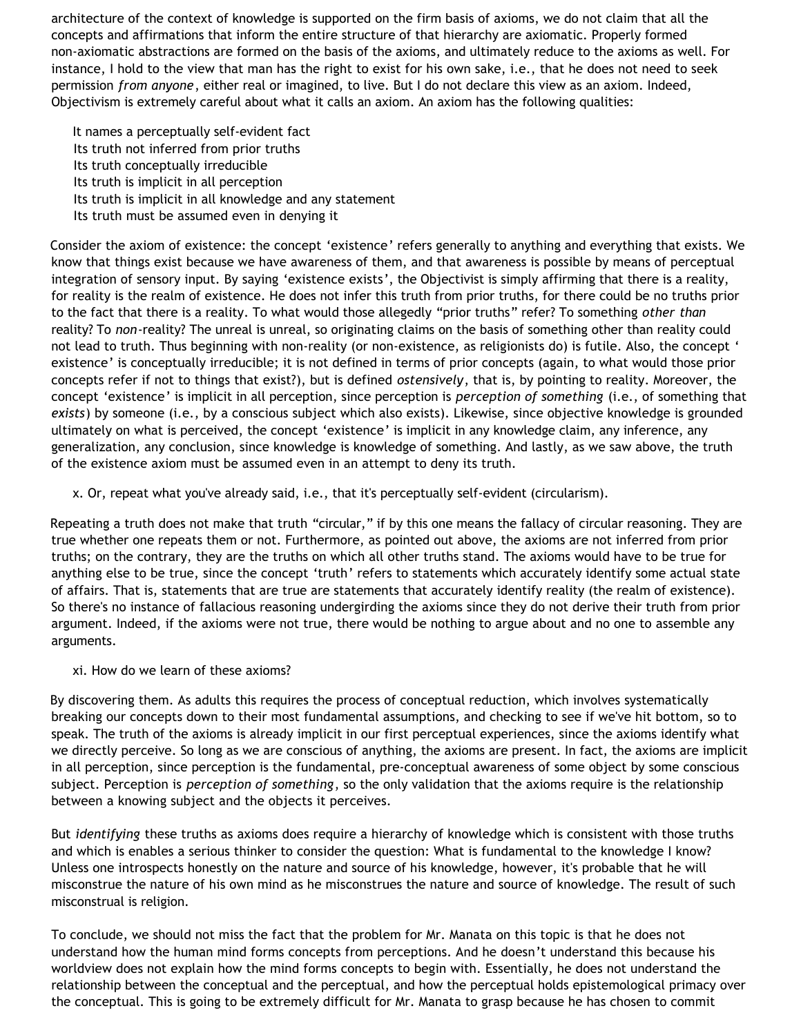architecture of the context of knowledge is supported on the firm basis of axioms, we do not claim that all the concepts and affirmations that inform the entire structure of that hierarchy are axiomatic. Properly formed non-axiomatic abstractions are formed on the basis of the axioms, and ultimately reduce to the axioms as well. For instance, I hold to the view that man has the right to exist for his own sake, i.e., that he does not need to seek permission *from anyone*, either real or imagined, to live. But I do not declare this view as an axiom. Indeed, Objectivism is extremely careful about what it calls an axiom. An axiom has the following qualities:

It names a perceptually self-evident fact Its truth not inferred from prior truths Its truth conceptually irreducible Its truth is implicit in all perception Its truth is implicit in all knowledge and any statement Its truth must be assumed even in denying it

Consider the axiom of existence: the concept 'existence' refers generally to anything and everything that exists. We know that things exist because we have awareness of them, and that awareness is possible by means of perceptual integration of sensory input. By saying 'existence exists', the Objectivist is simply affirming that there is a reality, for reality is the realm of existence. He does not infer this truth from prior truths, for there could be no truths prior to the fact that there is a reality. To what would those allegedly "prior truths" refer? To something *other than* reality? To *non*-reality? The unreal is unreal, so originating claims on the basis of something other than reality could not lead to truth. Thus beginning with non-reality (or non-existence, as religionists do) is futile. Also, the concept ' existence' is conceptually irreducible; it is not defined in terms of prior concepts (again, to what would those prior concepts refer if not to things that exist?), but is defined *ostensively*, that is, by pointing to reality. Moreover, the concept 'existence' is implicit in all perception, since perception is *perception of something* (i.e., of something that *exists*) by someone (i.e., by a conscious subject which also exists). Likewise, since objective knowledge is grounded ultimately on what is perceived, the concept 'existence' is implicit in any knowledge claim, any inference, any generalization, any conclusion, since knowledge is knowledge of something. And lastly, as we saw above, the truth of the existence axiom must be assumed even in an attempt to deny its truth.

x. Or, repeat what you've already said, i.e., that it's perceptually self-evident (circularism).

Repeating a truth does not make that truth "circular," if by this one means the fallacy of circular reasoning. They are true whether one repeats them or not. Furthermore, as pointed out above, the axioms are not inferred from prior truths; on the contrary, they are the truths on which all other truths stand. The axioms would have to be true for anything else to be true, since the concept 'truth' refers to statements which accurately identify some actual state of affairs. That is, statements that are true are statements that accurately identify reality (the realm of existence). So there's no instance of fallacious reasoning undergirding the axioms since they do not derive their truth from prior argument. Indeed, if the axioms were not true, there would be nothing to argue about and no one to assemble any arguments.

xi. How do we learn of these axioms?

By discovering them. As adults this requires the process of conceptual reduction, which involves systematically breaking our concepts down to their most fundamental assumptions, and checking to see if we've hit bottom, so to speak. The truth of the axioms is already implicit in our first perceptual experiences, since the axioms identify what we directly perceive. So long as we are conscious of anything, the axioms are present. In fact, the axioms are implicit in all perception, since perception is the fundamental, pre-conceptual awareness of some object by some conscious subject. Perception is *perception of something*, so the only validation that the axioms require is the relationship between a knowing subject and the objects it perceives.

But *identifying* these truths as axioms does require a hierarchy of knowledge which is consistent with those truths and which is enables a serious thinker to consider the question: What is fundamental to the knowledge I know? Unless one introspects honestly on the nature and source of his knowledge, however, it's probable that he will misconstrue the nature of his own mind as he misconstrues the nature and source of knowledge. The result of such misconstrual is religion.

To conclude, we should not miss the fact that the problem for Mr. Manata on this topic is that he does not understand how the human mind forms concepts from perceptions. And he doesn't understand this because his worldview does not explain how the mind forms concepts to begin with. Essentially, he does not understand the relationship between the conceptual and the perceptual, and how the perceptual holds epistemological primacy over the conceptual. This is going to be extremely difficult for Mr. Manata to grasp because he has chosen to commit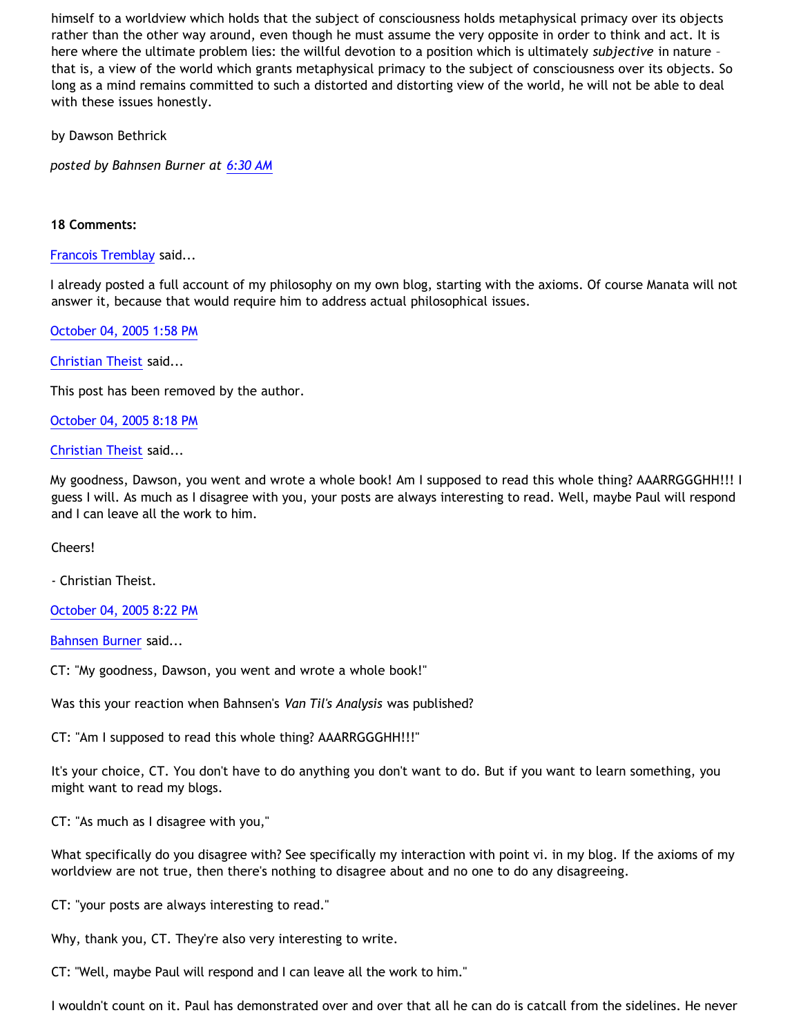himself to a worldview which holds that the subject of consciousness holds metaphysical primacy over its objects rather than the other way around, even though he must assume the very opposite in order to think and act. It is here where the ultimate problem lies: the willful devotion to a position which is ultimately *subjective* in nature – that is, a view of the world which grants metaphysical primacy to the subject of consciousness over its objects. So long as a mind remains committed to such a distorted and distorting view of the world, he will not be able to deal with these issues honestly.

by Dawson Bethrick

*posted by Bahnsen Burner at [6:30 AM](http://bahnsenburner.blogspot.com/2005/10/probing-mr-manatas-poor-understanding.html)*

# **18 Comments:**

[Francois Tremblay](http://www.blogger.com/profile/7715861) said...

I already posted a full account of my philosophy on my own blog, starting with the axioms. Of course Manata will not answer it, because that would require him to address actual philosophical issues.

[October 04, 2005 1:58 PM](http://bahnsenburner.blogspot.com/2005/10/112845950296593555)

[Christian Theist](http://www.blogger.com/profile/13040841) said...

This post has been removed by the author.

[October 04, 2005 8:18 PM](http://bahnsenburner.blogspot.com/2005/10/112848233030912057)

[Christian Theist](http://www.blogger.com/profile/13040841) said...

My goodness, Dawson, you went and wrote a whole book! Am I supposed to read this whole thing? AAARRGGGHH!!! I guess I will. As much as I disagree with you, your posts are always interesting to read. Well, maybe Paul will respond and I can leave all the work to him.

Cheers!

- Christian Theist.

[October 04, 2005 8:22 PM](http://bahnsenburner.blogspot.com/2005/10/112848255376835443)

[Bahnsen Burner](http://www.blogger.com/profile/7766918) said...

CT: "My goodness, Dawson, you went and wrote a whole book!"

Was this your reaction when Bahnsen's *Van Til's Analysis* was published?

CT: "Am I supposed to read this whole thing? AAARRGGGHH!!!"

It's your choice, CT. You don't have to do anything you don't want to do. But if you want to learn something, you might want to read my blogs.

CT: "As much as I disagree with you,"

What specifically do you disagree with? See specifically my interaction with point vi. in my blog. If the axioms of my worldview are not true, then there's nothing to disagree about and no one to do any disagreeing.

CT: "your posts are always interesting to read."

Why, thank you, CT. They're also very interesting to write.

CT: "Well, maybe Paul will respond and I can leave all the work to him."

I wouldn't count on it. Paul has demonstrated over and over that all he can do is catcall from the sidelines. He never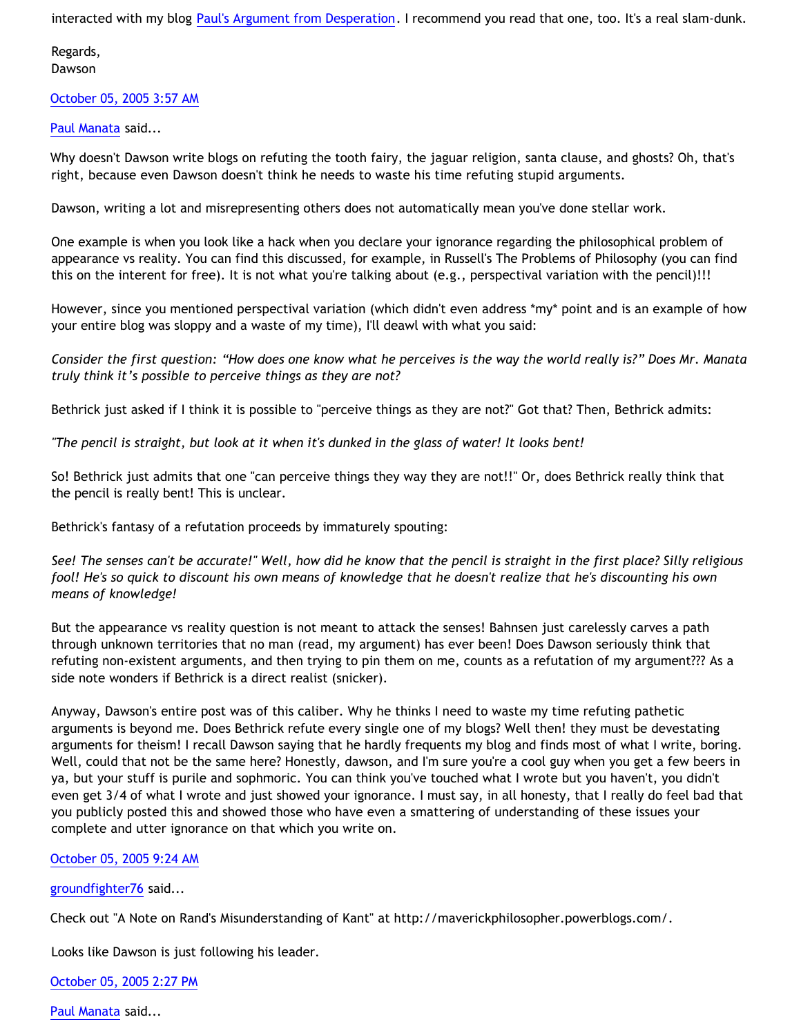interacted with my blog [Paul's Argument from Desperation.](http://bahnsenburner.blogspot.com/2005/04/pauls-argument-from-desperation.html) I recommend you read that one, too. It's a real slam-dunk.

Regards, Dawson

[October 05, 2005 3:57 AM](http://bahnsenburner.blogspot.com/2005/10/112850985503717144)

[Paul Manata](http://www.blogger.com/profile/7464842) said...

Why doesn't Dawson write blogs on refuting the tooth fairy, the jaguar religion, santa clause, and ghosts? Oh, that's right, because even Dawson doesn't think he needs to waste his time refuting stupid arguments.

Dawson, writing a lot and misrepresenting others does not automatically mean you've done stellar work.

One example is when you look like a hack when you declare your ignorance regarding the philosophical problem of appearance vs reality. You can find this discussed, for example, in Russell's The Problems of Philosophy (you can find this on the interent for free). It is not what you're talking about (e.g., perspectival variation with the pencil)!!!

However, since you mentioned perspectival variation (which didn't even address \*my\* point and is an example of how your entire blog was sloppy and a waste of my time), I'll deawl with what you said:

*Consider the first question: "How does one know what he perceives is the way the world really is?" Does Mr. Manata truly think it's possible to perceive things as they are not?*

Bethrick just asked if I think it is possible to "perceive things as they are not?" Got that? Then, Bethrick admits:

*"The pencil is straight, but look at it when it's dunked in the glass of water! It looks bent!*

So! Bethrick just admits that one "can perceive things they way they are not!!" Or, does Bethrick really think that the pencil is really bent! This is unclear.

Bethrick's fantasy of a refutation proceeds by immaturely spouting:

*See! The senses can't be accurate!" Well, how did he know that the pencil is straight in the first place? Silly religious fool! He's so quick to discount his own means of knowledge that he doesn't realize that he's discounting his own means of knowledge!*

But the appearance vs reality question is not meant to attack the senses! Bahnsen just carelessly carves a path through unknown territories that no man (read, my argument) has ever been! Does Dawson seriously think that refuting non-existent arguments, and then trying to pin them on me, counts as a refutation of my argument??? As a side note wonders if Bethrick is a direct realist (snicker).

Anyway, Dawson's entire post was of this caliber. Why he thinks I need to waste my time refuting pathetic arguments is beyond me. Does Bethrick refute every single one of my blogs? Well then! they must be devestating arguments for theism! I recall Dawson saying that he hardly frequents my blog and finds most of what I write, boring. Well, could that not be the same here? Honestly, dawson, and I'm sure you're a cool guy when you get a few beers in ya, but your stuff is purile and sophmoric. You can think you've touched what I wrote but you haven't, you didn't even get 3/4 of what I wrote and just showed your ignorance. I must say, in all honesty, that I really do feel bad that you publicly posted this and showed those who have even a smattering of understanding of these issues your complete and utter ignorance on that which you write on.

# [October 05, 2005 9:24 AM](http://bahnsenburner.blogspot.com/2005/10/112852946186660208)

[groundfighter76](http://www.blogger.com/profile/8210797) said...

Check out "A Note on Rand's Misunderstanding of Kant" at <http://maverickphilosopher.powerblogs.com/.>

Looks like Dawson is just following his leader.

[October 05, 2005 2:27 PM](http://bahnsenburner.blogspot.com/2005/10/112854766644751690)

[Paul Manata](http://www.blogger.com/profile/7464842) said...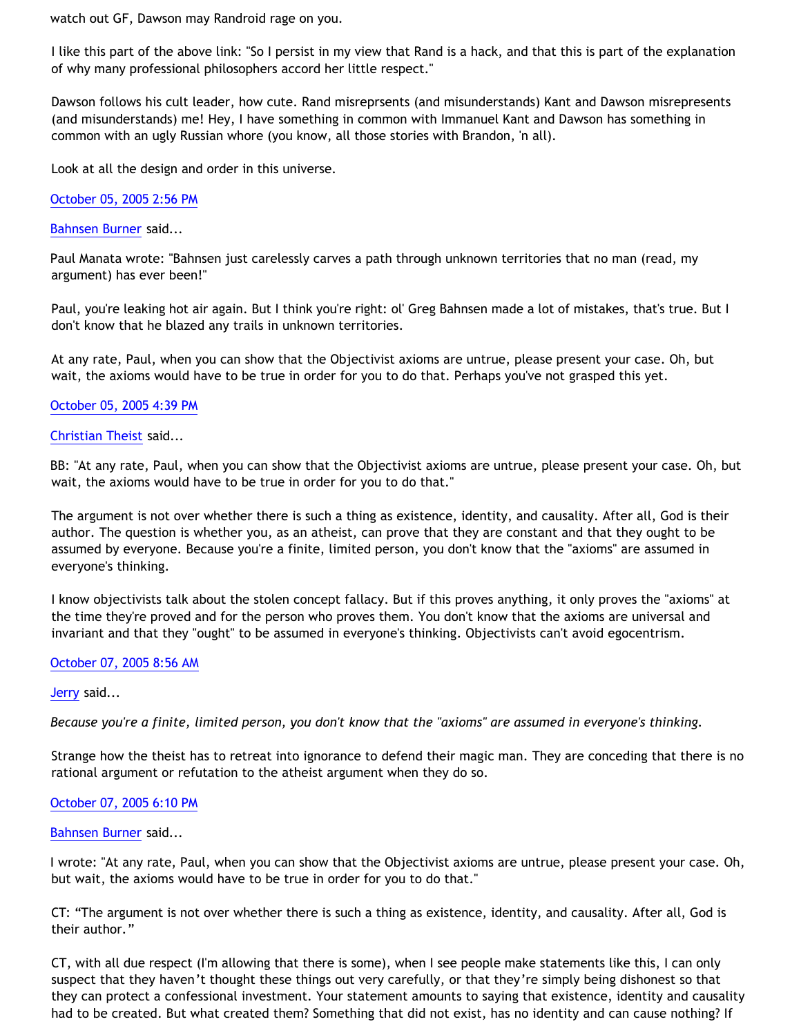watch out GF, Dawson may Randroid rage on you.

I like this part of the above link: "So I persist in my view that Rand is a hack, and that this is part of the explanation of why many professional philosophers accord her little respect."

Dawson follows his cult leader, how cute. Rand misreprsents (and misunderstands) Kant and Dawson misrepresents (and misunderstands) me! Hey, I have something in common with Immanuel Kant and Dawson has something in common with an ugly Russian whore (you know, all those stories with Brandon, 'n all).

Look at all the design and order in this universe.

[October 05, 2005 2:56 PM](http://bahnsenburner.blogspot.com/2005/10/112854938877375384)

[Bahnsen Burner](http://www.blogger.com/profile/7766918) said...

Paul Manata wrote: "Bahnsen just carelessly carves a path through unknown territories that no man (read, my argument) has ever been!"

Paul, you're leaking hot air again. But I think you're right: ol' Greg Bahnsen made a lot of mistakes, that's true. But I don't know that he blazed any trails in unknown territories.

At any rate, Paul, when you can show that the Objectivist axioms are untrue, please present your case. Oh, but wait, the axioms would have to be true in order for you to do that. Perhaps you've not grasped this yet.

# [October 05, 2005 4:39 PM](http://bahnsenburner.blogspot.com/2005/10/112855554828702371)

[Christian Theist](http://www.blogger.com/profile/13040841) said...

BB: "At any rate, Paul, when you can show that the Objectivist axioms are untrue, please present your case. Oh, but wait, the axioms would have to be true in order for you to do that."

The argument is not over whether there is such a thing as existence, identity, and causality. After all, God is their author. The question is whether you, as an atheist, can prove that they are constant and that they ought to be assumed by everyone. Because you're a finite, limited person, you don't know that the "axioms" are assumed in everyone's thinking.

I know objectivists talk about the stolen concept fallacy. But if this proves anything, it only proves the "axioms" at the time they're proved and for the person who proves them. You don't know that the axioms are universal and invariant and that they "ought" to be assumed in everyone's thinking. Objectivists can't avoid egocentrism.

#### [October 07, 2005 8:56 AM](http://bahnsenburner.blogspot.com/2005/10/112870061009975106)

#### [Jerry](http://www.blogger.com/profile/12959741) said...

*Because you're a finite, limited person, you don't know that the "axioms" are assumed in everyone's thinking.*

Strange how the theist has to retreat into ignorance to defend their magic man. They are conceding that there is no rational argument or refutation to the atheist argument when they do so.

#### [October 07, 2005 6:10 PM](http://bahnsenburner.blogspot.com/2005/10/112873382346499417)

#### [Bahnsen Burner](http://www.blogger.com/profile/7766918) said...

I wrote: "At any rate, Paul, when you can show that the Objectivist axioms are untrue, please present your case. Oh, but wait, the axioms would have to be true in order for you to do that."

CT: "The argument is not over whether there is such a thing as existence, identity, and causality. After all, God is their author."

CT, with all due respect (I'm allowing that there is some), when I see people make statements like this, I can only suspect that they haven't thought these things out very carefully, or that they're simply being dishonest so that they can protect a confessional investment. Your statement amounts to saying that existence, identity and causality had to be created. But what created them? Something that did not exist, has no identity and can cause nothing? If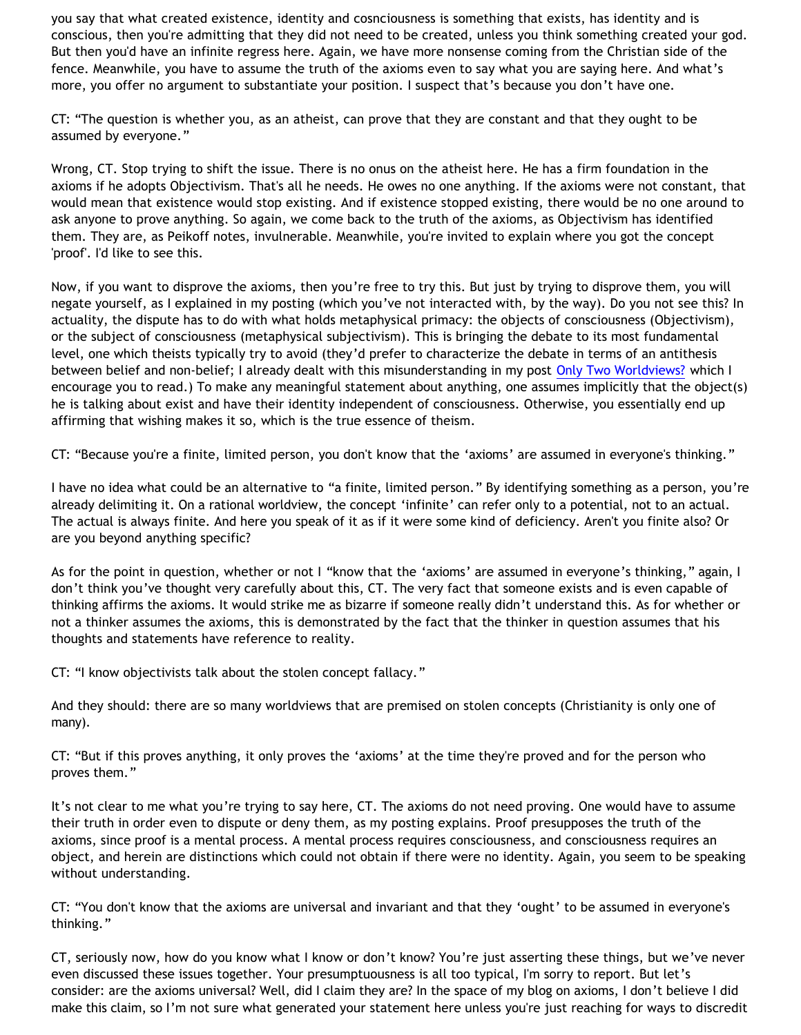you say that what created existence, identity and cosnciousness is something that exists, has identity and is conscious, then you're admitting that they did not need to be created, unless you think something created your god. But then you'd have an infinite regress here. Again, we have more nonsense coming from the Christian side of the fence. Meanwhile, you have to assume the truth of the axioms even to say what you are saying here. And what's more, you offer no argument to substantiate your position. I suspect that's because you don't have one.

CT: "The question is whether you, as an atheist, can prove that they are constant and that they ought to be assumed by everyone."

Wrong, CT. Stop trying to shift the issue. There is no onus on the atheist here. He has a firm foundation in the axioms if he adopts Objectivism. That's all he needs. He owes no one anything. If the axioms were not constant, that would mean that existence would stop existing. And if existence stopped existing, there would be no one around to ask anyone to prove anything. So again, we come back to the truth of the axioms, as Objectivism has identified them. They are, as Peikoff notes, invulnerable. Meanwhile, you're invited to explain where you got the concept 'proof'. I'd like to see this.

Now, if you want to disprove the axioms, then you're free to try this. But just by trying to disprove them, you will negate yourself, as I explained in my posting (which you've not interacted with, by the way). Do you not see this? In actuality, the dispute has to do with what holds metaphysical primacy: the objects of consciousness (Objectivism), or the subject of consciousness (metaphysical subjectivism). This is bringing the debate to its most fundamental level, one which theists typically try to avoid (they'd prefer to characterize the debate in terms of an antithesis between belief and non-belief; I already dealt with this misunderstanding in my post [Only Two Worldviews?](http://bahnsenburner.blogspot.com/2005/07/only-two-worldviews.html) which I encourage you to read.) To make any meaningful statement about anything, one assumes implicitly that the object(s) he is talking about exist and have their identity independent of consciousness. Otherwise, you essentially end up affirming that wishing makes it so, which is the true essence of theism.

CT: "Because you're a finite, limited person, you don't know that the 'axioms' are assumed in everyone's thinking."

I have no idea what could be an alternative to "a finite, limited person." By identifying something as a person, you're already delimiting it. On a rational worldview, the concept 'infinite' can refer only to a potential, not to an actual. The actual is always finite. And here you speak of it as if it were some kind of deficiency. Aren't you finite also? Or are you beyond anything specific?

As for the point in question, whether or not I "know that the 'axioms' are assumed in everyone's thinking," again, I don't think you've thought very carefully about this, CT. The very fact that someone exists and is even capable of thinking affirms the axioms. It would strike me as bizarre if someone really didn't understand this. As for whether or not a thinker assumes the axioms, this is demonstrated by the fact that the thinker in question assumes that his thoughts and statements have reference to reality.

CT: "I know objectivists talk about the stolen concept fallacy."

And they should: there are so many worldviews that are premised on stolen concepts (Christianity is only one of many).

CT: "But if this proves anything, it only proves the 'axioms' at the time they're proved and for the person who proves them."

It's not clear to me what you're trying to say here, CT. The axioms do not need proving. One would have to assume their truth in order even to dispute or deny them, as my posting explains. Proof presupposes the truth of the axioms, since proof is a mental process. A mental process requires consciousness, and consciousness requires an object, and herein are distinctions which could not obtain if there were no identity. Again, you seem to be speaking without understanding.

CT: "You don't know that the axioms are universal and invariant and that they 'ought' to be assumed in everyone's thinking."

CT, seriously now, how do you know what I know or don't know? You're just asserting these things, but we've never even discussed these issues together. Your presumptuousness is all too typical, I'm sorry to report. But let's consider: are the axioms universal? Well, did I claim they are? In the space of my blog on axioms, I don't believe I did make this claim, so I'm not sure what generated your statement here unless you're just reaching for ways to discredit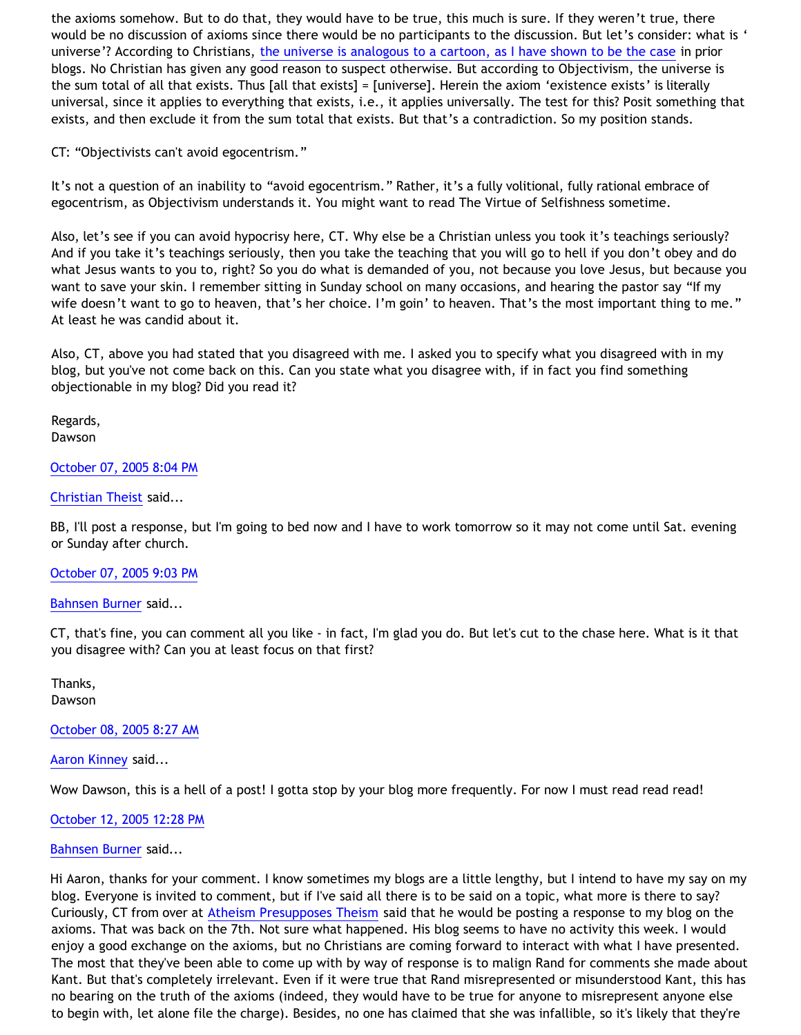the axioms somehow. But to do that, they would have to be true, this much is sure. If they weren't true, there would be no discussion of axioms since there would be no participants to the discussion. But let's consider: what is ' universe'? According to Christians, [the universe is analogous to a cartoon, as I have shown to be the case](http://bahnsenburner.blogspot.com/2005/03/cartoon-universe-of-theism.html) in prior blogs. No Christian has given any good reason to suspect otherwise. But according to Objectivism, the universe is the sum total of all that exists. Thus [all that exists] = [universe]. Herein the axiom 'existence exists' is literally universal, since it applies to everything that exists, i.e., it applies universally. The test for this? Posit something that exists, and then exclude it from the sum total that exists. But that's a contradiction. So my position stands.

CT: "Objectivists can't avoid egocentrism."

It's not a question of an inability to "avoid egocentrism." Rather, it's a fully volitional, fully rational embrace of egocentrism, as Objectivism understands it. You might want to read The Virtue of Selfishness sometime.

Also, let's see if you can avoid hypocrisy here, CT. Why else be a Christian unless you took it's teachings seriously? And if you take it's teachings seriously, then you take the teaching that you will go to hell if you don't obey and do what Jesus wants to you to, right? So you do what is demanded of you, not because you love Jesus, but because you want to save your skin. I remember sitting in Sunday school on many occasions, and hearing the pastor say "If my wife doesn't want to go to heaven, that's her choice. I'm goin' to heaven. That's the most important thing to me." At least he was candid about it.

Also, CT, above you had stated that you disagreed with me. I asked you to specify what you disagreed with in my blog, but you've not come back on this. Can you state what you disagree with, if in fact you find something objectionable in my blog? Did you read it?

Regards, Dawson

[October 07, 2005 8:04 PM](http://bahnsenburner.blogspot.com/2005/10/112874064807663468)

[Christian Theist](http://www.blogger.com/profile/13040841) said...

BB, I'll post a response, but I'm going to bed now and I have to work tomorrow so it may not come until Sat. evening or Sunday after church.

#### [October 07, 2005 9:03 PM](http://bahnsenburner.blogspot.com/2005/10/112874419920945959)

[Bahnsen Burner](http://www.blogger.com/profile/7766918) said...

CT, that's fine, you can comment all you like - in fact, I'm glad you do. But let's cut to the chase here. What is it that you disagree with? Can you at least focus on that first?

Thanks, Dawson

[October 08, 2005 8:27 AM](http://bahnsenburner.blogspot.com/2005/10/112878523650480471)

[Aaron Kinney](http://www.blogger.com/profile/8138664) said...

Wow Dawson, this is a hell of a post! I gotta stop by your blog more frequently. For now I must read read read!

#### [October 12, 2005 12:28 PM](http://bahnsenburner.blogspot.com/2005/10/112914532749346306)

#### [Bahnsen Burner](http://www.blogger.com/profile/7766918) said...

Hi Aaron, thanks for your comment. I know sometimes my blogs are a little lengthy, but I intend to have my say on my blog. Everyone is invited to comment, but if I've said all there is to be said on a topic, what more is there to say? Curiously, CT from over at [Atheism Presupposes Theism](http://corneliusvantil.blogspot.com) said that he would be posting a response to my blog on the axioms. That was back on the 7th. Not sure what happened. His blog seems to have no activity this week. I would enjoy a good exchange on the axioms, but no Christians are coming forward to interact with what I have presented. The most that they've been able to come up with by way of response is to malign Rand for comments she made about Kant. But that's completely irrelevant. Even if it were true that Rand misrepresented or misunderstood Kant, this has no bearing on the truth of the axioms (indeed, they would have to be true for anyone to misrepresent anyone else to begin with, let alone file the charge). Besides, no one has claimed that she was infallible, so it's likely that they're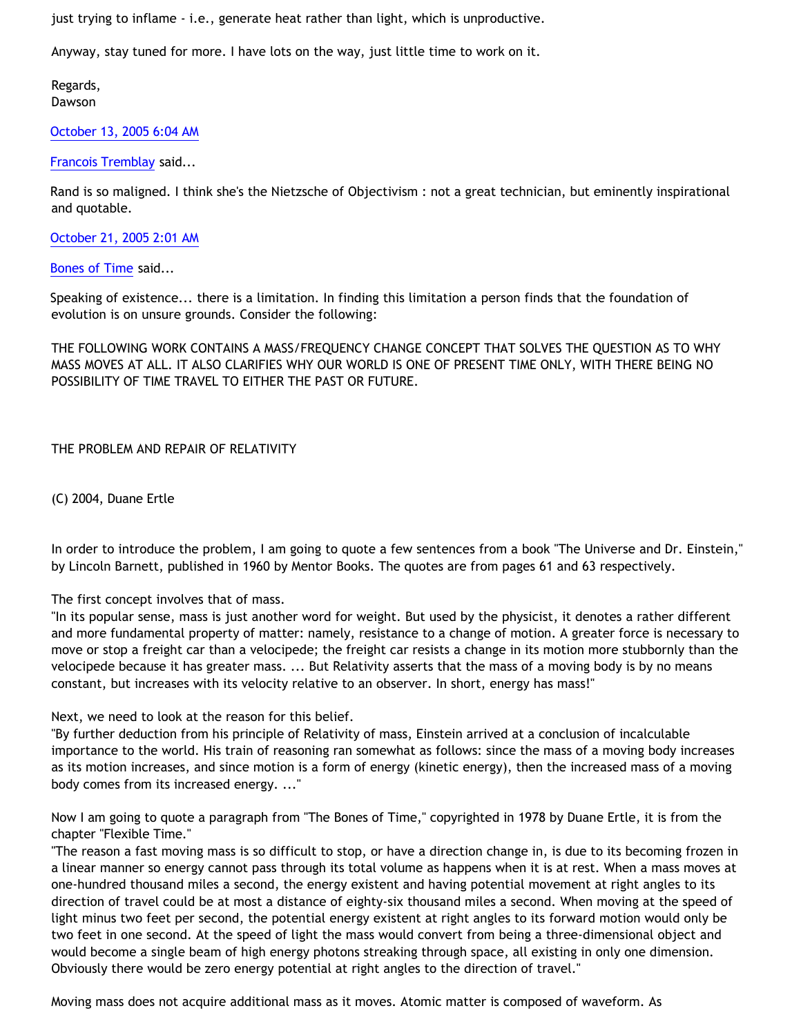just trying to inflame - i.e., generate heat rather than light, which is unproductive.

Anyway, stay tuned for more. I have lots on the way, just little time to work on it.

Regards, Dawson

# [October 13, 2005 6:04 AM](http://bahnsenburner.blogspot.com/2005/10/112920866911832621)

[Francois Tremblay](http://www.blogger.com/profile/7715861) said...

Rand is so maligned. I think she's the Nietzsche of Objectivism : not a great technician, but eminently inspirational and quotable.

[October 21, 2005 2:01 AM](http://bahnsenburner.blogspot.com/2005/10/112988526930202397)

[Bones of Time](http://www.blogger.com/profile/14296724) said...

Speaking of existence... there is a limitation. In finding this limitation a person finds that the foundation of evolution is on unsure grounds. Consider the following:

THE FOLLOWING WORK CONTAINS A MASS/FREQUENCY CHANGE CONCEPT THAT SOLVES THE QUESTION AS TO WHY MASS MOVES AT ALL. IT ALSO CLARIFIES WHY OUR WORLD IS ONE OF PRESENT TIME ONLY, WITH THERE BEING NO POSSIBILITY OF TIME TRAVEL TO EITHER THE PAST OR FUTURE.

THE PROBLEM AND REPAIR OF RELATIVITY

(C) 2004, Duane Ertle

In order to introduce the problem, I am going to quote a few sentences from a book "The Universe and Dr. Einstein," by Lincoln Barnett, published in 1960 by Mentor Books. The quotes are from pages 61 and 63 respectively.

# The first concept involves that of mass.

"In its popular sense, mass is just another word for weight. But used by the physicist, it denotes a rather different and more fundamental property of matter: namely, resistance to a change of motion. A greater force is necessary to move or stop a freight car than a velocipede; the freight car resists a change in its motion more stubbornly than the velocipede because it has greater mass. ... But Relativity asserts that the mass of a moving body is by no means constant, but increases with its velocity relative to an observer. In short, energy has mass!"

Next, we need to look at the reason for this belief.

"By further deduction from his principle of Relativity of mass, Einstein arrived at a conclusion of incalculable importance to the world. His train of reasoning ran somewhat as follows: since the mass of a moving body increases as its motion increases, and since motion is a form of energy (kinetic energy), then the increased mass of a moving body comes from its increased energy. ..."

Now I am going to quote a paragraph from "The Bones of Time," copyrighted in 1978 by Duane Ertle, it is from the chapter "Flexible Time."

"The reason a fast moving mass is so difficult to stop, or have a direction change in, is due to its becoming frozen in a linear manner so energy cannot pass through its total volume as happens when it is at rest. When a mass moves at one-hundred thousand miles a second, the energy existent and having potential movement at right angles to its direction of travel could be at most a distance of eighty-six thousand miles a second. When moving at the speed of light minus two feet per second, the potential energy existent at right angles to its forward motion would only be two feet in one second. At the speed of light the mass would convert from being a three-dimensional object and would become a single beam of high energy photons streaking through space, all existing in only one dimension. Obviously there would be zero energy potential at right angles to the direction of travel."

Moving mass does not acquire additional mass as it moves. Atomic matter is composed of waveform. As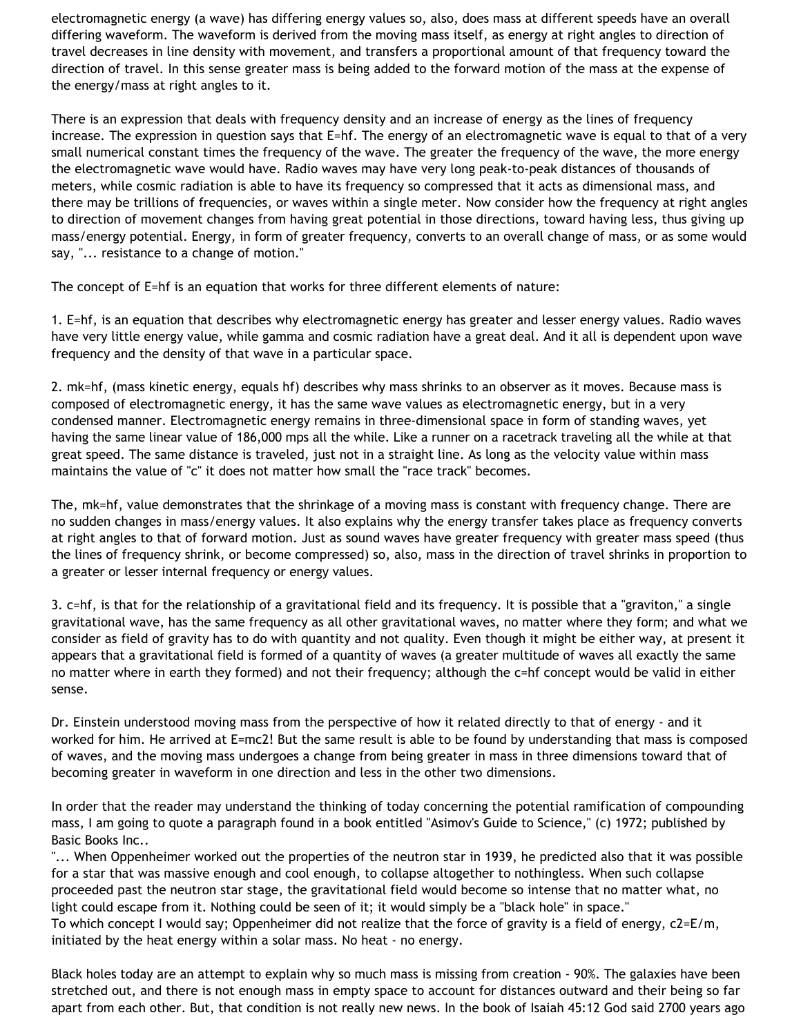electromagnetic energy (a wave) has differing energy values so, also, does mass at different speeds have an overall differing waveform. The waveform is derived from the moving mass itself, as energy at right angles to direction of travel decreases in line density with movement, and transfers a proportional amount of that frequency toward the direction of travel. In this sense greater mass is being added to the forward motion of the mass at the expense of the energy/mass at right angles to it.

There is an expression that deals with frequency density and an increase of energy as the lines of frequency increase. The expression in question says that E=hf. The energy of an electromagnetic wave is equal to that of a very small numerical constant times the frequency of the wave. The greater the frequency of the wave, the more energy the electromagnetic wave would have. Radio waves may have very long peak-to-peak distances of thousands of meters, while cosmic radiation is able to have its frequency so compressed that it acts as dimensional mass, and there may be trillions of frequencies, or waves within a single meter. Now consider how the frequency at right angles to direction of movement changes from having great potential in those directions, toward having less, thus giving up mass/energy potential. Energy, in form of greater frequency, converts to an overall change of mass, or as some would say, "... resistance to a change of motion."

The concept of E=hf is an equation that works for three different elements of nature:

1. E=hf, is an equation that describes why electromagnetic energy has greater and lesser energy values. Radio waves have very little energy value, while gamma and cosmic radiation have a great deal. And it all is dependent upon wave frequency and the density of that wave in a particular space.

2. mk=hf, (mass kinetic energy, equals hf) describes why mass shrinks to an observer as it moves. Because mass is composed of electromagnetic energy, it has the same wave values as electromagnetic energy, but in a very condensed manner. Electromagnetic energy remains in three-dimensional space in form of standing waves, yet having the same linear value of 186,000 mps all the while. Like a runner on a racetrack traveling all the while at that great speed. The same distance is traveled, just not in a straight line. As long as the velocity value within mass maintains the value of "c" it does not matter how small the "race track" becomes.

The, mk=hf, value demonstrates that the shrinkage of a moving mass is constant with frequency change. There are no sudden changes in mass/energy values. It also explains why the energy transfer takes place as frequency converts at right angles to that of forward motion. Just as sound waves have greater frequency with greater mass speed (thus the lines of frequency shrink, or become compressed) so, also, mass in the direction of travel shrinks in proportion to a greater or lesser internal frequency or energy values.

3. c=hf, is that for the relationship of a gravitational field and its frequency. It is possible that a "graviton," a single gravitational wave, has the same frequency as all other gravitational waves, no matter where they form; and what we consider as field of gravity has to do with quantity and not quality. Even though it might be either way, at present it appears that a gravitational field is formed of a quantity of waves (a greater multitude of waves all exactly the same no matter where in earth they formed) and not their frequency; although the c=hf concept would be valid in either sense.

Dr. Einstein understood moving mass from the perspective of how it related directly to that of energy - and it worked for him. He arrived at E=mc2! But the same result is able to be found by understanding that mass is composed of waves, and the moving mass undergoes a change from being greater in mass in three dimensions toward that of becoming greater in waveform in one direction and less in the other two dimensions.

In order that the reader may understand the thinking of today concerning the potential ramification of compounding mass, I am going to quote a paragraph found in a book entitled "Asimov's Guide to Science," (c) 1972; published by Basic Books Inc..

"... When Oppenheimer worked out the properties of the neutron star in 1939, he predicted also that it was possible for a star that was massive enough and cool enough, to collapse altogether to nothingless. When such collapse proceeded past the neutron star stage, the gravitational field would become so intense that no matter what, no light could escape from it. Nothing could be seen of it; it would simply be a "black hole" in space." To which concept I would say; Oppenheimer did not realize that the force of gravity is a field of energy, c2=E/m, initiated by the heat energy within a solar mass. No heat - no energy.

Black holes today are an attempt to explain why so much mass is missing from creation - 90%. The galaxies have been stretched out, and there is not enough mass in empty space to account for distances outward and their being so far apart from each other. But, that condition is not really new news. In the book of Isaiah 45:12 God said 2700 years ago